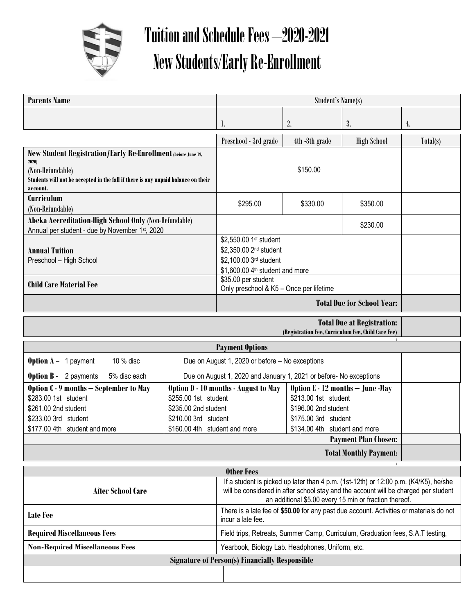

Г

## Tuition and Schedule Fees –2020-2021 New Students/Early Re-Enrollment

| <b>Parents Name</b>                                                                                                                                                                         |                                                                                                                                               | <b>Student's Name(s)</b>                                                                                                                                                                                                              |                                                                                                                                           |                    |          |  |  |  |
|---------------------------------------------------------------------------------------------------------------------------------------------------------------------------------------------|-----------------------------------------------------------------------------------------------------------------------------------------------|---------------------------------------------------------------------------------------------------------------------------------------------------------------------------------------------------------------------------------------|-------------------------------------------------------------------------------------------------------------------------------------------|--------------------|----------|--|--|--|
|                                                                                                                                                                                             |                                                                                                                                               | I.                                                                                                                                                                                                                                    | 2.                                                                                                                                        | 3.                 | 4.       |  |  |  |
|                                                                                                                                                                                             |                                                                                                                                               | Preschool - 3rd grade                                                                                                                                                                                                                 | 4th -8th grade                                                                                                                            | <b>High School</b> | Total(s) |  |  |  |
| New Student Registration/Early Re-Enrollment (before June 19,<br>2020)<br>(Non-Refundable)<br>Students will not be accepted in the fall if there is any unpaid balance on their<br>account. |                                                                                                                                               |                                                                                                                                                                                                                                       |                                                                                                                                           |                    |          |  |  |  |
| Curriculum<br>(Non-Refundable)                                                                                                                                                              |                                                                                                                                               | \$295.00                                                                                                                                                                                                                              | \$330.00                                                                                                                                  | \$350.00           |          |  |  |  |
| Abeka Accreditation-High School Only (Non-Refundable)<br>Annual per student - due by November 1st, 2020                                                                                     |                                                                                                                                               |                                                                                                                                                                                                                                       |                                                                                                                                           | \$230.00           |          |  |  |  |
| <b>Annual Tuition</b><br>Preschool - High School                                                                                                                                            |                                                                                                                                               | \$2,550.00 1st student<br>\$2,350.00 2 <sup>nd</sup> student<br>\$2,100.00 3rd student<br>\$1,600.00 4 <sup>th</sup> student and more                                                                                                 |                                                                                                                                           |                    |          |  |  |  |
| <b>Child Care Material Fee</b>                                                                                                                                                              |                                                                                                                                               | \$35.00 per student<br>Only preschool & K5 - Once per lifetime                                                                                                                                                                        |                                                                                                                                           |                    |          |  |  |  |
|                                                                                                                                                                                             |                                                                                                                                               | <b>Total Due for School Year:</b>                                                                                                                                                                                                     |                                                                                                                                           |                    |          |  |  |  |
| <b>Total Due at Registration:</b><br>(Registration Fee, Curriculum Fee, Child Care Fee)                                                                                                     |                                                                                                                                               |                                                                                                                                                                                                                                       |                                                                                                                                           |                    |          |  |  |  |
| <b>Payment Options</b>                                                                                                                                                                      |                                                                                                                                               |                                                                                                                                                                                                                                       |                                                                                                                                           |                    |          |  |  |  |
| 10 % disc<br><b>Option <math>A - 1</math> payment</b><br>Due on August 1, 2020 or before - No exceptions                                                                                    |                                                                                                                                               |                                                                                                                                                                                                                                       |                                                                                                                                           |                    |          |  |  |  |
| <b>Option B</b> - 2 payments<br>5% disc each                                                                                                                                                | Due on August 1, 2020 and January 1, 2021 or before- No exceptions                                                                            |                                                                                                                                                                                                                                       |                                                                                                                                           |                    |          |  |  |  |
| Option C - 9 months - September to May<br>\$283.00 1st student<br>\$261.00 2nd student<br>\$233.00 3rd student<br>\$177.00 4th student and more                                             | Option D - 10 months - August to May<br>\$255.00 1st student<br>\$235.00 2nd student<br>\$210.00 3rd student<br>\$160.00 4th student and more |                                                                                                                                                                                                                                       | Option E - 12 months - June -May<br>\$213.00 1st student<br>\$196.00 2nd student<br>\$175.00 3rd student<br>\$134.00 4th student and more |                    |          |  |  |  |
|                                                                                                                                                                                             |                                                                                                                                               |                                                                                                                                                                                                                                       | <b>Payment Plan Chosen:</b>                                                                                                               |                    |          |  |  |  |
| <b>Total Monthly Payment:</b>                                                                                                                                                               |                                                                                                                                               |                                                                                                                                                                                                                                       |                                                                                                                                           |                    |          |  |  |  |
| <b>Other Fees</b>                                                                                                                                                                           |                                                                                                                                               |                                                                                                                                                                                                                                       |                                                                                                                                           |                    |          |  |  |  |
| <b>After School Care</b>                                                                                                                                                                    |                                                                                                                                               | If a student is picked up later than 4 p.m. (1st-12th) or 12:00 p.m. (K4/K5), he/she<br>will be considered in after school stay and the account will be charged per student<br>an additional \$5.00 every 15 min or fraction thereof. |                                                                                                                                           |                    |          |  |  |  |
| Late Fee                                                                                                                                                                                    |                                                                                                                                               | There is a late fee of \$50.00 for any past due account. Activities or materials do not<br>incur a late fee.                                                                                                                          |                                                                                                                                           |                    |          |  |  |  |
| <b>Required Miscellaneous Fees</b>                                                                                                                                                          |                                                                                                                                               | Field trips, Retreats, Summer Camp, Curriculum, Graduation fees, S.A.T testing,                                                                                                                                                       |                                                                                                                                           |                    |          |  |  |  |
| <b>Non-Required Miscellaneous Fees</b><br>Yearbook, Biology Lab. Headphones, Uniform, etc.                                                                                                  |                                                                                                                                               |                                                                                                                                                                                                                                       |                                                                                                                                           |                    |          |  |  |  |
| <b>Signature of Person(s) Financially Responsible</b>                                                                                                                                       |                                                                                                                                               |                                                                                                                                                                                                                                       |                                                                                                                                           |                    |          |  |  |  |
|                                                                                                                                                                                             |                                                                                                                                               |                                                                                                                                                                                                                                       |                                                                                                                                           |                    |          |  |  |  |